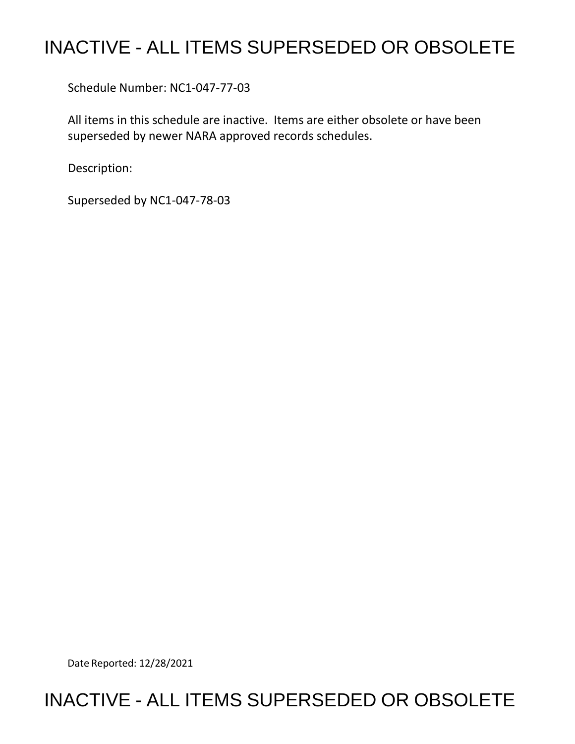## INACTIVE - ALL ITEMS SUPERSEDED OR OBSOLETE

Schedule Number: NC1-047-77-03

 All items in this schedule are inactive. Items are either obsolete or have been superseded by newer NARA approved records schedules.

Description:

Superseded by NC1-047-78-03

Date Reported: 12/28/2021

## INACTIVE - ALL ITEMS SUPERSEDED OR OBSOLETE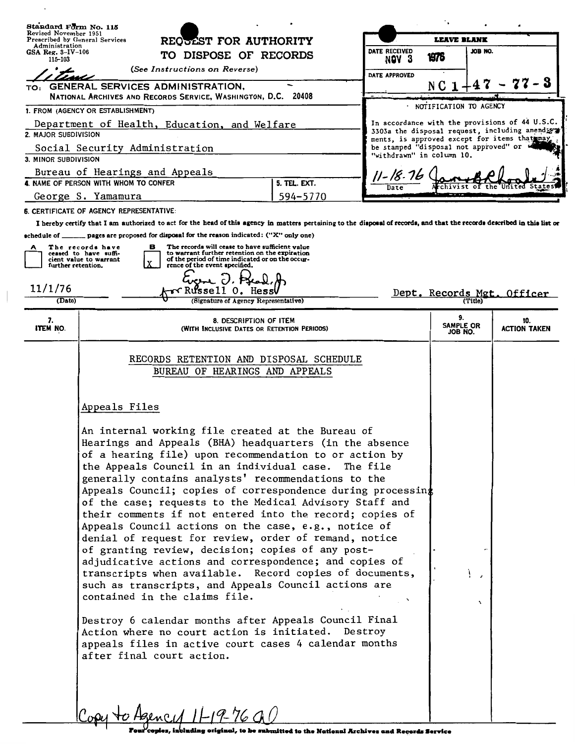| Standard Form No. 115                                                   |                                                                                                                                                                                                                                                                                                                                                                                                                                                                                                                                                                                                                                                                                                                                   |                       |                           |                                                                                        |                                                                                                   |                            |  |
|-------------------------------------------------------------------------|-----------------------------------------------------------------------------------------------------------------------------------------------------------------------------------------------------------------------------------------------------------------------------------------------------------------------------------------------------------------------------------------------------------------------------------------------------------------------------------------------------------------------------------------------------------------------------------------------------------------------------------------------------------------------------------------------------------------------------------|-----------------------|---------------------------|----------------------------------------------------------------------------------------|---------------------------------------------------------------------------------------------------|----------------------------|--|
| Revised November 1951                                                   | Prescribed by General Services                                                                                                                                                                                                                                                                                                                                                                                                                                                                                                                                                                                                                                                                                                    | REQUEST FOR AUTHORITY |                           | <b>LEAVE BLANK</b>                                                                     |                                                                                                   |                            |  |
| Administration<br>GSA Reg. $3-IV-106$                                   | TO DISPOSE OF RECORDS                                                                                                                                                                                                                                                                                                                                                                                                                                                                                                                                                                                                                                                                                                             | DATE RECEIVED         |                           | 1976                                                                                   | JOB NO.                                                                                           |                            |  |
| 115-103<br>(See Instructions on Reverse)                                |                                                                                                                                                                                                                                                                                                                                                                                                                                                                                                                                                                                                                                                                                                                                   |                       | NOV <sub>3</sub>          |                                                                                        |                                                                                                   |                            |  |
| DATE APPROVED<br>TO: GENERAL SERVICES ADMINISTRATION,                   |                                                                                                                                                                                                                                                                                                                                                                                                                                                                                                                                                                                                                                                                                                                                   |                       | N C                       |                                                                                        |                                                                                                   |                            |  |
| NATIONAL ARCHIVES AND RECORDS SERVICE, WASHINGTON, D.C. 20408           |                                                                                                                                                                                                                                                                                                                                                                                                                                                                                                                                                                                                                                                                                                                                   |                       |                           |                                                                                        |                                                                                                   |                            |  |
| 1. FROM (AGENCY OR ESTABLISHMENT)                                       |                                                                                                                                                                                                                                                                                                                                                                                                                                                                                                                                                                                                                                                                                                                                   |                       |                           |                                                                                        | NOTIFICATION TO AGENCY                                                                            |                            |  |
| Department of Health, Education, and Welfare<br>2. MAJOR SUBDIVISION    |                                                                                                                                                                                                                                                                                                                                                                                                                                                                                                                                                                                                                                                                                                                                   |                       |                           |                                                                                        | In accordance with the provisions of 44 U.S.C.<br>3303a the disposal request, including amendiate |                            |  |
| Social Security Administration                                          |                                                                                                                                                                                                                                                                                                                                                                                                                                                                                                                                                                                                                                                                                                                                   |                       |                           | ments, is approved except for items that may,<br>be stamped "disposal not approved" or |                                                                                                   |                            |  |
| 3. MINOR SUBDIVISION                                                    |                                                                                                                                                                                                                                                                                                                                                                                                                                                                                                                                                                                                                                                                                                                                   |                       | "withdrawn" in column 10. |                                                                                        |                                                                                                   |                            |  |
| Bureau of Hearings and Appeals<br>4. NAME OF PERSON WITH WHOM TO CONFER |                                                                                                                                                                                                                                                                                                                                                                                                                                                                                                                                                                                                                                                                                                                                   |                       |                           | 11-18-76                                                                               |                                                                                                   |                            |  |
|                                                                         |                                                                                                                                                                                                                                                                                                                                                                                                                                                                                                                                                                                                                                                                                                                                   | 5. TEL. EXT.          | Date                      |                                                                                        |                                                                                                   |                            |  |
|                                                                         | George S. Yamamura                                                                                                                                                                                                                                                                                                                                                                                                                                                                                                                                                                                                                                                                                                                | 594-5770              |                           |                                                                                        |                                                                                                   |                            |  |
|                                                                         | 6. CERTIFICATE OF AGENCY REPRESENTATIVE:<br>I hereby certify that I am authorized to act for the head of this agency in matters pertaining to the disposal of records, and that the records described in this list or                                                                                                                                                                                                                                                                                                                                                                                                                                                                                                             |                       |                           |                                                                                        |                                                                                                   |                            |  |
|                                                                         | schedule of _______ pages are proposed for disposal for the reason indicated: ("X" only one)                                                                                                                                                                                                                                                                                                                                                                                                                                                                                                                                                                                                                                      |                       |                           |                                                                                        |                                                                                                   |                            |  |
|                                                                         | The records will cease to have sufficient value<br>The records have<br>в<br>to warrant further retention on the expiration<br>ceased to have suffi-<br>of the period of time indicated or on the occur-<br>cient value to warrant<br>rence of the event specified.<br>further retention.                                                                                                                                                                                                                                                                                                                                                                                                                                          |                       |                           |                                                                                        |                                                                                                   |                            |  |
| 11/1/76                                                                 | √kussell 0.<br>Hessl                                                                                                                                                                                                                                                                                                                                                                                                                                                                                                                                                                                                                                                                                                              |                       |                           |                                                                                        |                                                                                                   | Dept. Records Mgt. Officer |  |
| (Date)                                                                  | (Signature of Agency Representative)                                                                                                                                                                                                                                                                                                                                                                                                                                                                                                                                                                                                                                                                                              |                       |                           |                                                                                        |                                                                                                   |                            |  |
| 7.<br>ITEM NO.                                                          | 8. DESCRIPTION OF ITEM<br>(WITH INCLUSIVE DATES OR RETENTION PERIODS)                                                                                                                                                                                                                                                                                                                                                                                                                                                                                                                                                                                                                                                             |                       |                           |                                                                                        | 9.<br>SAMPLE OR<br>JOB NO.                                                                        | 10.<br><b>ACTION TAKEN</b> |  |
|                                                                         | RECORDS RETENTION AND DISPOSAL SCHEDULE<br>BUREAU OF HEARINGS AND APPEALS<br>Appeals Files<br>An internal working file created at the Bureau of<br>Hearings and Appeals (BHA) headquarters (in the absence<br>of a hearing file) upon recommendation to or action by<br>the Appeals Council in an individual case. The file<br>generally contains analysts' recommendations to the<br>Appeals Council; copies of correspondence during processing                                                                                                                                                                                                                                                                                 |                       |                           |                                                                                        |                                                                                                   |                            |  |
|                                                                         | of the case; requests to the Medical Advisory Staff and<br>their comments if not entered into the record; copies of<br>Appeals Council actions on the case, e.g., notice of<br>denial of request for review, order of remand, notice<br>of granting review, decision; copies of any post-<br>adjudicative actions and correspondence; and copies of<br>transcripts when available. Record copies of documents,<br>such as transcripts, and Appeals Council actions are<br>contained in the claims file.<br>Destroy 6 calendar months after Appeals Council Final<br>Action where no court action is initiated.<br>appeals files in active court cases 4 calendar months<br>after final court action.<br>Copy to Agency $1H9-7600$ |                       | Destroy                   |                                                                                        | $\overline{\phantom{a}}$<br>$\mathbf{v}$                                                          |                            |  |

Four copies, including original, to be submitted to the National Archives and Records Service